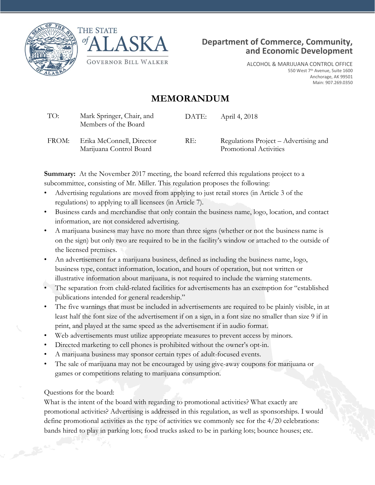





ALCOHOL & MARIJUANA CONTROL OFFICE 550 West 7<sup>th</sup> Avenue, Suite 1600 Anchorage, AK 99501 Main: 907.269.0350

## **MEMORANDUM**

| TO:   | Mark Springer, Chair, and<br>Members of the Board    | DATE: | April 4, 2018                                                   |
|-------|------------------------------------------------------|-------|-----------------------------------------------------------------|
| FROM: | Erika McConnell, Director<br>Marijuana Control Board | RE:   | Regulations Project – Advertising and<br>Promotional Activities |

**Summary:** At the November 2017 meeting, the board referred this regulations project to a subcommittee, consisting of Mr. Miller. This regulation proposes the following:

- Advertising regulations are moved from applying to just retail stores (in Article 3 of the regulations) to applying to all licensees (in Article 7).
- Business cards and merchandise that only contain the business name, logo, location, and contact information, are not considered advertising.
- A marijuana business may have no more than three signs (whether or not the business name is on the sign) but only two are required to be in the facility's window or attached to the outside of the licensed premises.
- An advertisement for a marijuana business, defined as including the business name, logo, business type, contact information, location, and hours of operation, but not written or illustrative information about marijuana, is not required to include the warning statements.
- The separation from child-related facilities for advertisements has an exemption for "established publications intended for general readership."
- The five warnings that must be included in advertisements are required to be plainly visible, in at least half the font size of the advertisement if on a sign, in a font size no smaller than size 9 if in print, and played at the same speed as the advertisement if in audio format.
- Web advertisements must utilize appropriate measures to prevent access by minors.
- Directed marketing to cell phones is prohibited without the owner's opt-in.
- A marijuana business may sponsor certain types of adult-focused events.
- The sale of marijuana may not be encouraged by using give-away coupons for marijuana or games or competitions relating to marijuana consumption.

## Questions for the board:

What is the intent of the board with regarding to promotional activities? What exactly are promotional activities? Advertising is addressed in this regulation, as well as sponsorships. I would define promotional activities as the type of activities we commonly see for the 4/20 celebrations: bands hired to play in parking lots; food trucks asked to be in parking lots; bounce houses; etc.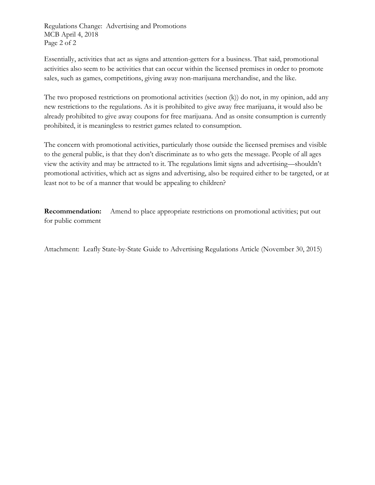Regulations Change: Advertising and Promotions MCB April 4, 2018 Page 2 of 2

Essentially, activities that act as signs and attention-getters for a business. That said, promotional activities also seem to be activities that can occur within the licensed premises in order to promote sales, such as games, competitions, giving away non-marijuana merchandise, and the like.

The two proposed restrictions on promotional activities (section (k)) do not, in my opinion, add any new restrictions to the regulations. As it is prohibited to give away free marijuana, it would also be already prohibited to give away coupons for free marijuana. And as onsite consumption is currently prohibited, it is meaningless to restrict games related to consumption.

The concern with promotional activities, particularly those outside the licensed premises and visible to the general public, is that they don't discriminate as to who gets the message. People of all ages view the activity and may be attracted to it. The regulations limit signs and advertising—shouldn't promotional activities, which act as signs and advertising, also be required either to be targeted, or at least not to be of a manner that would be appealing to children?

**Recommendation:** Amend to place appropriate restrictions on promotional activities; put out for public comment

Attachment: Leafly State-by-State Guide to Advertising Regulations Article (November 30, 2015)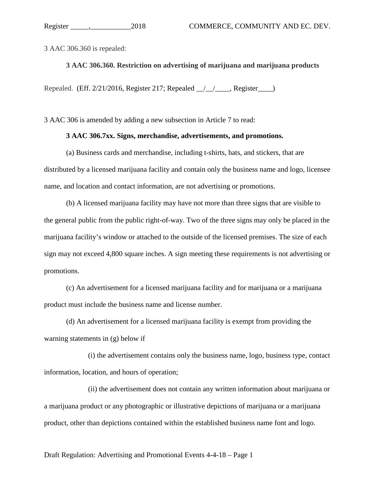3 AAC 306.360 is repealed:

**3 AAC 306.360. Restriction on advertising of marijuana and marijuana products** 

Repealed. (Eff. 2/21/2016, Register 217; Repealed \_\_/\_\_/\_\_\_\_, Register\_\_\_\_)

3 AAC 306 is amended by adding a new subsection in Article 7 to read:

#### **3 AAC 306.7xx. Signs, merchandise, advertisements, and promotions.**

(a) Business cards and merchandise, including t-shirts, hats, and stickers, that are distributed by a licensed marijuana facility and contain only the business name and logo, licensee name, and location and contact information, are not advertising or promotions.

(b) A licensed marijuana facility may have not more than three signs that are visible to the general public from the public right-of-way. Two of the three signs may only be placed in the marijuana facility's window or attached to the outside of the licensed premises. The size of each sign may not exceed 4,800 square inches. A sign meeting these requirements is not advertising or promotions.

(c) An advertisement for a licensed marijuana facility and for marijuana or a marijuana product must include the business name and license number.

(d) An advertisement for a licensed marijuana facility is exempt from providing the warning statements in (g) below if

(i) the advertisement contains only the business name, logo, business type, contact information, location, and hours of operation;

(ii) the advertisement does not contain any written information about marijuana or a marijuana product or any photographic or illustrative depictions of marijuana or a marijuana product, other than depictions contained within the established business name font and logo.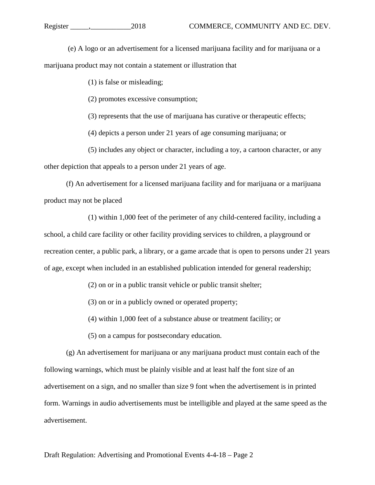(e) A logo or an advertisement for a licensed marijuana facility and for marijuana or a marijuana product may not contain a statement or illustration that

(1) is false or misleading;

(2) promotes excessive consumption;

(3) represents that the use of marijuana has curative or therapeutic effects;

(4) depicts a person under 21 years of age consuming marijuana; or

(5) includes any object or character, including a toy, a cartoon character, or any other depiction that appeals to a person under 21 years of age.

(f) An advertisement for a licensed marijuana facility and for marijuana or a marijuana product may not be placed

(1) within 1,000 feet of the perimeter of any child-centered facility, including a school, a child care facility or other facility providing services to children, a playground or recreation center, a public park, a library, or a game arcade that is open to persons under 21 years of age, except when included in an established publication intended for general readership;

(2) on or in a public transit vehicle or public transit shelter;

(3) on or in a publicly owned or operated property;

(4) within 1,000 feet of a substance abuse or treatment facility; or

(5) on a campus for postsecondary education.

(g) An advertisement for marijuana or any marijuana product must contain each of the following warnings, which must be plainly visible and at least half the font size of an advertisement on a sign, and no smaller than size 9 font when the advertisement is in printed form. Warnings in audio advertisements must be intelligible and played at the same speed as the advertisement.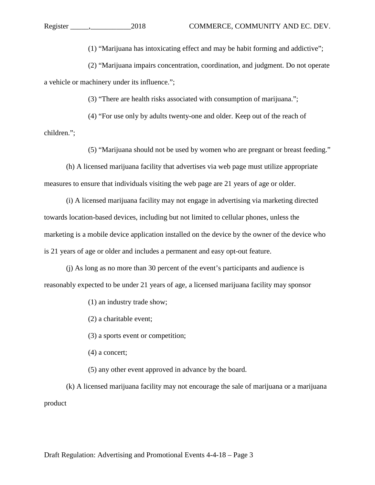(1) "Marijuana has intoxicating effect and may be habit forming and addictive";

(2) "Marijuana impairs concentration, coordination, and judgment. Do not operate a vehicle or machinery under its influence.";

(3) "There are health risks associated with consumption of marijuana.";

(4) "For use only by adults twenty-one and older. Keep out of the reach of

children.";

(5) "Marijuana should not be used by women who are pregnant or breast feeding."

(h) A licensed marijuana facility that advertises via web page must utilize appropriate measures to ensure that individuals visiting the web page are 21 years of age or older.

(i) A licensed marijuana facility may not engage in advertising via marketing directed towards location-based devices, including but not limited to cellular phones, unless the marketing is a mobile device application installed on the device by the owner of the device who is 21 years of age or older and includes a permanent and easy opt-out feature.

(j) As long as no more than 30 percent of the event's participants and audience is reasonably expected to be under 21 years of age, a licensed marijuana facility may sponsor

(1) an industry trade show;

(2) a charitable event;

(3) a sports event or competition;

(4) a concert;

(5) any other event approved in advance by the board.

(k) A licensed marijuana facility may not encourage the sale of marijuana or a marijuana product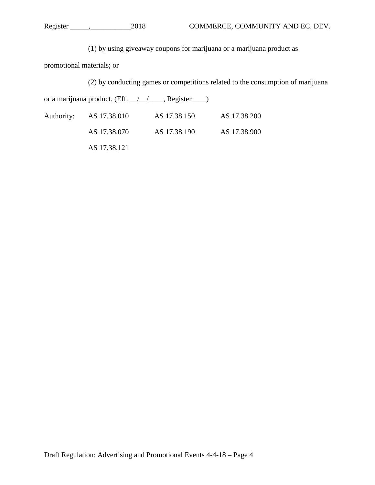(1) by using giveaway coupons for marijuana or a marijuana product as

promotional materials; or

(2) by conducting games or competitions related to the consumption of marijuana

or a marijuana product. (Eff.  $\angle$  / \_\_\_\_, Register \_\_\_)

| Authority: AS 17.38.010 | AS 17.38.150 | AS 17.38.200 |
|-------------------------|--------------|--------------|
| AS 17.38.070            | AS 17.38.190 | AS 17.38.900 |

AS 17.38.121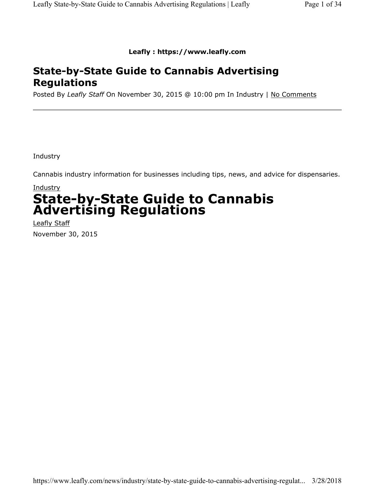**Leafly : https://www.leafly.com**

## **State-by-State Guide to Cannabis Advertising Regulations**

Posted By *Leafly Staff* On November 30, 2015 @ 10:00 pm In Industry | No Comments

Industry

Cannabis industry information for businesses including tips, news, and advice for dispensaries.

## **Industry State-by-State Guide to Cannabis Advertising Regulations**

Leafly Staff November 30, 2015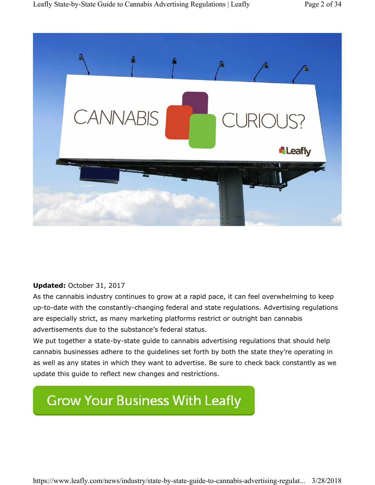

#### **Updated:** October 31, 2017

As the cannabis industry continues to grow at a rapid pace, it can feel overwhelming to keep up-to-date with the constantly-changing federal and state regulations. Advertising regulations are especially strict, as many marketing platforms restrict or outright ban cannabis advertisements due to the substance's federal status.

We put together a state-by-state guide to cannabis advertising regulations that should help cannabis businesses adhere to the guidelines set forth by both the state they're operating in as well as any states in which they want to advertise. Be sure to check back constantly as we update this guide to reflect new changes and restrictions.

# **Grow Your Business With Leafly**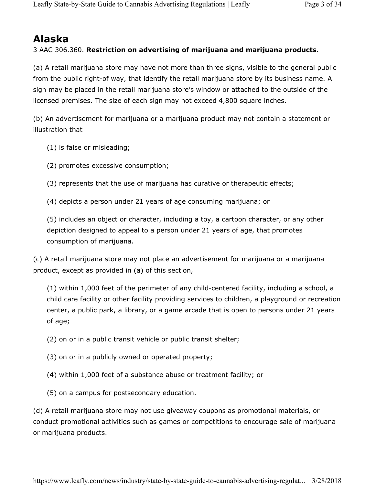## **Alaska**

### 3 AAC 306.360. **Restriction on advertising of marijuana and marijuana products.**

(a) A retail marijuana store may have not more than three signs, visible to the general public from the public right-of way, that identify the retail marijuana store by its business name. A sign may be placed in the retail marijuana store's window or attached to the outside of the licensed premises. The size of each sign may not exceed 4,800 square inches.

(b) An advertisement for marijuana or a marijuana product may not contain a statement or illustration that

- (1) is false or misleading;
- (2) promotes excessive consumption;
- (3) represents that the use of marijuana has curative or therapeutic effects;

(4) depicts a person under 21 years of age consuming marijuana; or

(5) includes an object or character, including a toy, a cartoon character, or any other depiction designed to appeal to a person under 21 years of age, that promotes consumption of marijuana.

(c) A retail marijuana store may not place an advertisement for marijuana or a marijuana product, except as provided in (a) of this section,

(1) within 1,000 feet of the perimeter of any child-centered facility, including a school, a child care facility or other facility providing services to children, a playground or recreation center, a public park, a library, or a game arcade that is open to persons under 21 years of age;

- (2) on or in a public transit vehicle or public transit shelter;
- (3) on or in a publicly owned or operated property;
- (4) within 1,000 feet of a substance abuse or treatment facility; or
- (5) on a campus for postsecondary education.

(d) A retail marijuana store may not use giveaway coupons as promotional materials, or conduct promotional activities such as games or competitions to encourage sale of marijuana or marijuana products.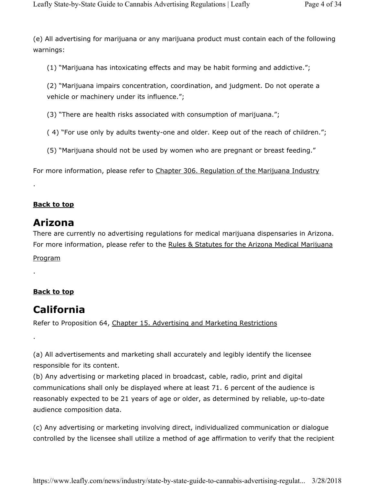(e) All advertising for marijuana or any marijuana product must contain each of the following warnings:

(1) "Marijuana has intoxicating effects and may be habit forming and addictive.";

(2) "Marijuana impairs concentration, coordination, and judgment. Do not operate a vehicle or machinery under its influence.";

(3) "There are health risks associated with consumption of marijuana.";

( 4) "For use only by adults twenty-one and older. Keep out of the reach of children.";

(5) "Marijuana should not be used by women who are pregnant or breast feeding."

For more information, please refer to Chapter 306. Regulation of the Marijuana Industry

## **Back to top**

.

## **Arizona**

There are currently no advertising regulations for medical marijuana dispensaries in Arizona. For more information, please refer to the Rules & Statutes for the Arizona Medical Marijuana

Program

.

.

## **Back to top**

## **California**

Refer to Proposition 64, Chapter 15. Advertising and Marketing Restrictions

(a) All advertisements and marketing shall accurately and legibly identify the licensee responsible for its content.

(b) Any advertising or marketing placed in broadcast, cable, radio, print and digital communications shall only be displayed where at least 71. 6 percent of the audience is reasonably expected to be 21 years of age or older, as determined by reliable, up-to-date audience composition data.

(c) Any advertising or marketing involving direct, individualized communication or dialogue controlled by the licensee shall utilize a method of age affirmation to verify that the recipient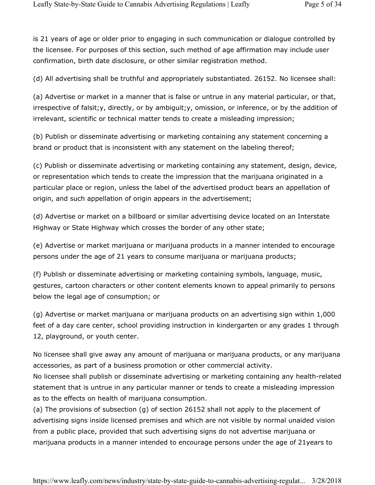is 21 years of age or older prior to engaging in such communication or dialogue controlled by the licensee. For purposes of this section, such method of age affirmation may include user confirmation, birth date disclosure, or other similar registration method.

(d) All advertising shall be truthful and appropriately substantiated. 26152. No licensee shall:

(a) Advertise or market in a manner that is false or untrue in any material particular, or that, irrespective of falsit;y, directly, or by ambiguit;y, omission, or inference, or by the addition of irrelevant, scientific or technical matter tends to create a misleading impression;

(b) Publish or disseminate advertising or marketing containing any statement concerning a brand or product that is inconsistent with any statement on the labeling thereof;

(c) Publish or disseminate advertising or marketing containing any statement, design, device, or representation which tends to create the impression that the marijuana originated in a particular place or region, unless the label of the advertised product bears an appellation of origin, and such appellation of origin appears in the advertisement;

(d) Advertise or market on a billboard or similar advertising device located on an Interstate Highway or State Highway which crosses the border of any other state;

(e) Advertise or market marijuana or marijuana products in a manner intended to encourage persons under the age of 21 years to consume marijuana or marijuana products;

(f) Publish or disseminate advertising or marketing containing symbols, language, music, gestures, cartoon characters or other content elements known to appeal primarily to persons below the legal age of consumption; or

(g) Advertise or market marijuana or marijuana products on an advertising sign within 1,000 feet of a day care center, school providing instruction in kindergarten or any grades 1 through 12, playground, or youth center.

No licensee shall give away any amount of marijuana or marijuana products, or any marijuana accessories, as part of a business promotion or other commercial activity.

No licensee shall publish or disseminate advertising or marketing containing any health-related statement that is untrue in any particular manner or tends to create a misleading impression as to the effects on health of marijuana consumption.

(a) The provisions of subsection (g) of section 26152 shall not apply to the placement of advertising signs inside licensed premises and which are not visible by normal unaided vision from a public place, provided that such advertising signs do not advertise marijuana or marijuana products in a manner intended to encourage persons under the age of 21years to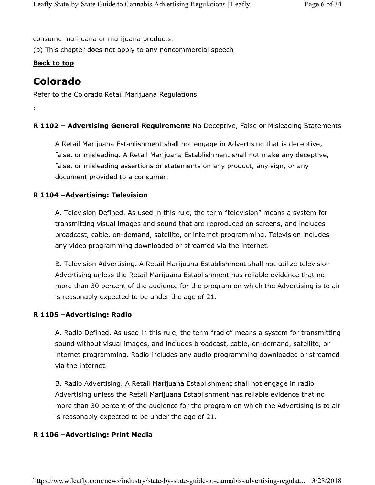consume marijuana or marijuana products.

(b) This chapter does not apply to any noncommercial speech

### **Back to top**

## **Colorado**

:

Refer to the Colorado Retail Marijuana Regulations

#### **R 1102 – Advertising General Requirement:** No Deceptive, False or Misleading Statements

A Retail Marijuana Establishment shall not engage in Advertising that is deceptive, false, or misleading. A Retail Marijuana Establishment shall not make any deceptive, false, or misleading assertions or statements on any product, any sign, or any document provided to a consumer.

#### **R 1104 –Advertising: Television**

A. Television Defined. As used in this rule, the term "television" means a system for transmitting visual images and sound that are reproduced on screens, and includes broadcast, cable, on-demand, satellite, or internet programming. Television includes any video programming downloaded or streamed via the internet.

B. Television Advertising. A Retail Marijuana Establishment shall not utilize television Advertising unless the Retail Marijuana Establishment has reliable evidence that no more than 30 percent of the audience for the program on which the Advertising is to air is reasonably expected to be under the age of 21.

#### **R 1105 –Advertising: Radio**

A. Radio Defined. As used in this rule, the term "radio" means a system for transmitting sound without visual images, and includes broadcast, cable, on-demand, satellite, or internet programming. Radio includes any audio programming downloaded or streamed via the internet.

B. Radio Advertising. A Retail Marijuana Establishment shall not engage in radio Advertising unless the Retail Marijuana Establishment has reliable evidence that no more than 30 percent of the audience for the program on which the Advertising is to air is reasonably expected to be under the age of 21.

#### **R 1106 –Advertising: Print Media**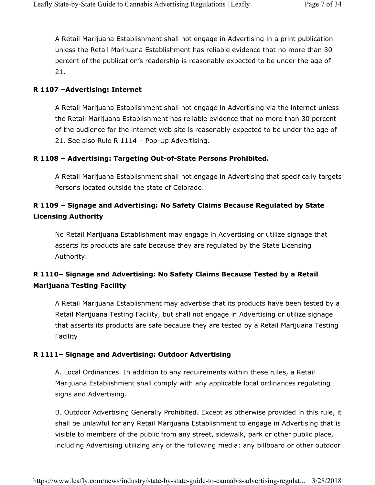A Retail Marijuana Establishment shall not engage in Advertising in a print publication unless the Retail Marijuana Establishment has reliable evidence that no more than 30 percent of the publication's readership is reasonably expected to be under the age of 21.

#### **R 1107 –Advertising: Internet**

A Retail Marijuana Establishment shall not engage in Advertising via the internet unless the Retail Marijuana Establishment has reliable evidence that no more than 30 percent of the audience for the internet web site is reasonably expected to be under the age of 21. See also Rule R 1114 – Pop-Up Advertising.

#### **R 1108 – Advertising: Targeting Out-of-State Persons Prohibited.**

A Retail Marijuana Establishment shall not engage in Advertising that specifically targets Persons located outside the state of Colorado.

## **R 1109 – Signage and Advertising: No Safety Claims Because Regulated by State Licensing Authority**

No Retail Marijuana Establishment may engage in Advertising or utilize signage that asserts its products are safe because they are regulated by the State Licensing Authority.

## **R 1110– Signage and Advertising: No Safety Claims Because Tested by a Retail Marijuana Testing Facility**

A Retail Marijuana Establishment may advertise that its products have been tested by a Retail Marijuana Testing Facility, but shall not engage in Advertising or utilize signage that asserts its products are safe because they are tested by a Retail Marijuana Testing Facility

#### **R 1111– Signage and Advertising: Outdoor Advertising**

A. Local Ordinances. In addition to any requirements within these rules, a Retail Marijuana Establishment shall comply with any applicable local ordinances regulating signs and Advertising.

B. Outdoor Advertising Generally Prohibited. Except as otherwise provided in this rule, it shall be unlawful for any Retail Marijuana Establishment to engage in Advertising that is visible to members of the public from any street, sidewalk, park or other public place, including Advertising utilizing any of the following media: any billboard or other outdoor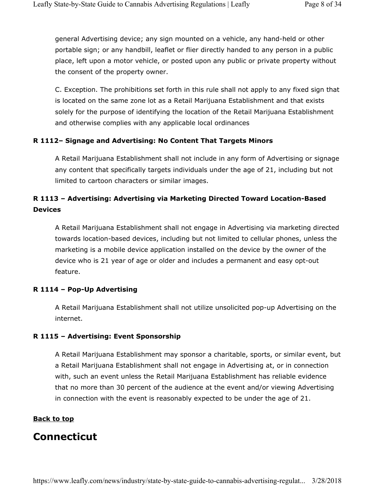general Advertising device; any sign mounted on a vehicle, any hand-held or other portable sign; or any handbill, leaflet or flier directly handed to any person in a public place, left upon a motor vehicle, or posted upon any public or private property without the consent of the property owner.

C. Exception. The prohibitions set forth in this rule shall not apply to any fixed sign that is located on the same zone lot as a Retail Marijuana Establishment and that exists solely for the purpose of identifying the location of the Retail Marijuana Establishment and otherwise complies with any applicable local ordinances

#### **R 1112– Signage and Advertising: No Content That Targets Minors**

A Retail Marijuana Establishment shall not include in any form of Advertising or signage any content that specifically targets individuals under the age of 21, including but not limited to cartoon characters or similar images.

## **R 1113 – Advertising: Advertising via Marketing Directed Toward Location-Based Devices**

A Retail Marijuana Establishment shall not engage in Advertising via marketing directed towards location-based devices, including but not limited to cellular phones, unless the marketing is a mobile device application installed on the device by the owner of the device who is 21 year of age or older and includes a permanent and easy opt-out feature.

#### **R 1114 – Pop-Up Advertising**

A Retail Marijuana Establishment shall not utilize unsolicited pop-up Advertising on the internet.

#### **R 1115 – Advertising: Event Sponsorship**

A Retail Marijuana Establishment may sponsor a charitable, sports, or similar event, but a Retail Marijuana Establishment shall not engage in Advertising at, or in connection with, such an event unless the Retail Marijuana Establishment has reliable evidence that no more than 30 percent of the audience at the event and/or viewing Advertising in connection with the event is reasonably expected to be under the age of 21.

#### **Back to top**

## **Connecticut**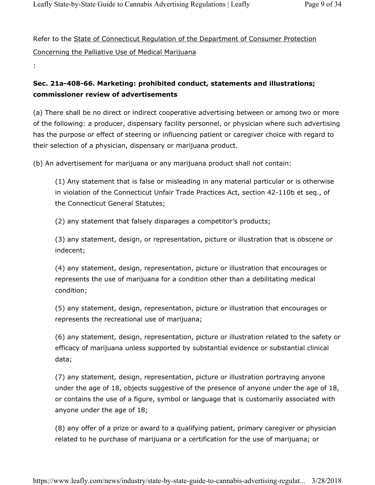Refer to the State of Connecticut Regulation of the Department of Consumer Protection Concerning the Palliative Use of Medical Marijuana

#### :

## **Sec. 21a-408-66. Marketing: prohibited conduct, statements and illustrations; commissioner review of advertisements**

(a) There shall be no direct or indirect cooperative advertising between or among two or more of the following: a producer, dispensary facility personnel, or physician where such advertising has the purpose or effect of steering or influencing patient or caregiver choice with regard to their selection of a physician, dispensary or marijuana product.

(b) An advertisement for marijuana or any marijuana product shall not contain:

(1) Any statement that is false or misleading in any material particular or is otherwise in violation of the Connecticut Unfair Trade Practices Act, section 42-110b et seq., of the Connecticut General Statutes;

(2) any statement that falsely disparages a competitor's products;

(3) any statement, design, or representation, picture or illustration that is obscene or indecent;

(4) any statement, design, representation, picture or illustration that encourages or represents the use of marijuana for a condition other than a debilitating medical condition;

(5) any statement, design, representation, picture or illustration that encourages or represents the recreational use of marijuana;

(6) any statement, design, representation, picture or illustration related to the safety or efficacy of marijuana unless supported by substantial evidence or substantial clinical data;

(7) any statement, design, representation, picture or illustration portraying anyone under the age of 18, objects suggestive of the presence of anyone under the age of 18, or contains the use of a figure, symbol or language that is customarily associated with anyone under the age of 18;

(8) any offer of a prize or award to a qualifying patient, primary caregiver or physician related to he purchase of marijuana or a certification for the use of marijuana; or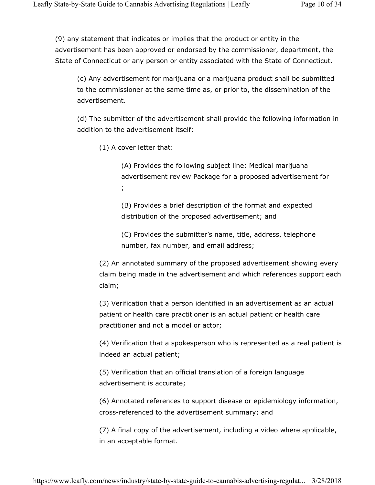(9) any statement that indicates or implies that the product or entity in the advertisement has been approved or endorsed by the commissioner, department, the State of Connecticut or any person or entity associated with the State of Connecticut.

(c) Any advertisement for marijuana or a marijuana product shall be submitted to the commissioner at the same time as, or prior to, the dissemination of the advertisement.

(d) The submitter of the advertisement shall provide the following information in addition to the advertisement itself:

(1) A cover letter that:

(A) Provides the following subject line: Medical marijuana advertisement review Package for a proposed advertisement for ;

(B) Provides a brief description of the format and expected distribution of the proposed advertisement; and

(C) Provides the submitter's name, title, address, telephone number, fax number, and email address;

(2) An annotated summary of the proposed advertisement showing every claim being made in the advertisement and which references support each claim;

(3) Verification that a person identified in an advertisement as an actual patient or health care practitioner is an actual patient or health care practitioner and not a model or actor;

(4) Verification that a spokesperson who is represented as a real patient is indeed an actual patient;

(5) Verification that an official translation of a foreign language advertisement is accurate;

(6) Annotated references to support disease or epidemiology information, cross-referenced to the advertisement summary; and

(7) A final copy of the advertisement, including a video where applicable, in an acceptable format.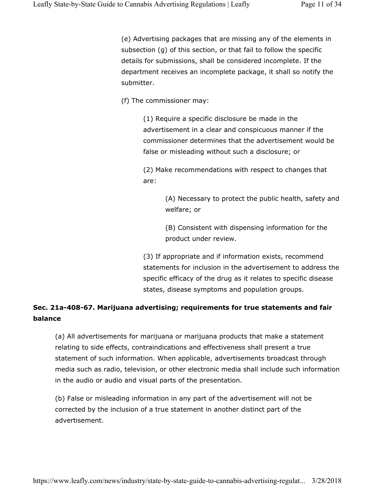(e) Advertising packages that are missing any of the elements in subsection (g) of this section, or that fail to follow the specific details for submissions, shall be considered incomplete. If the department receives an incomplete package, it shall so notify the submitter.

(f) The commissioner may:

(1) Require a specific disclosure be made in the advertisement in a clear and conspicuous manner if the commissioner determines that the advertisement would be false or misleading without such a disclosure; or

(2) Make recommendations with respect to changes that are:

> (A) Necessary to protect the public health, safety and welfare; or

(B) Consistent with dispensing information for the product under review.

(3) If appropriate and if information exists, recommend statements for inclusion in the advertisement to address the specific efficacy of the drug as it relates to specific disease states, disease symptoms and population groups.

## **Sec. 21a-408-67. Marijuana advertising; requirements for true statements and fair balance**

(a) All advertisements for marijuana or marijuana products that make a statement relating to side effects, contraindications and effectiveness shall present a true statement of such information. When applicable, advertisements broadcast through media such as radio, television, or other electronic media shall include such information in the audio or audio and visual parts of the presentation.

(b) False or misleading information in any part of the advertisement will not be corrected by the inclusion of a true statement in another distinct part of the advertisement.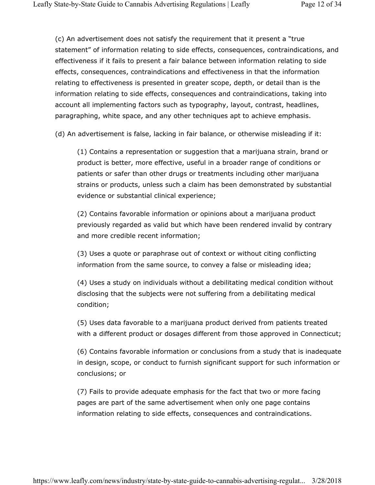(c) An advertisement does not satisfy the requirement that it present a "true statement" of information relating to side effects, consequences, contraindications, and effectiveness if it fails to present a fair balance between information relating to side effects, consequences, contraindications and effectiveness in that the information relating to effectiveness is presented in greater scope, depth, or detail than is the information relating to side effects, consequences and contraindications, taking into account all implementing factors such as typography, layout, contrast, headlines, paragraphing, white space, and any other techniques apt to achieve emphasis.

(d) An advertisement is false, lacking in fair balance, or otherwise misleading if it:

(1) Contains a representation or suggestion that a marijuana strain, brand or product is better, more effective, useful in a broader range of conditions or patients or safer than other drugs or treatments including other marijuana strains or products, unless such a claim has been demonstrated by substantial evidence or substantial clinical experience;

(2) Contains favorable information or opinions about a marijuana product previously regarded as valid but which have been rendered invalid by contrary and more credible recent information;

(3) Uses a quote or paraphrase out of context or without citing conflicting information from the same source, to convey a false or misleading idea;

(4) Uses a study on individuals without a debilitating medical condition without disclosing that the subjects were not suffering from a debilitating medical condition;

(5) Uses data favorable to a marijuana product derived from patients treated with a different product or dosages different from those approved in Connecticut;

(6) Contains favorable information or conclusions from a study that is inadequate in design, scope, or conduct to furnish significant support for such information or conclusions; or

(7) Fails to provide adequate emphasis for the fact that two or more facing pages are part of the same advertisement when only one page contains information relating to side effects, consequences and contraindications.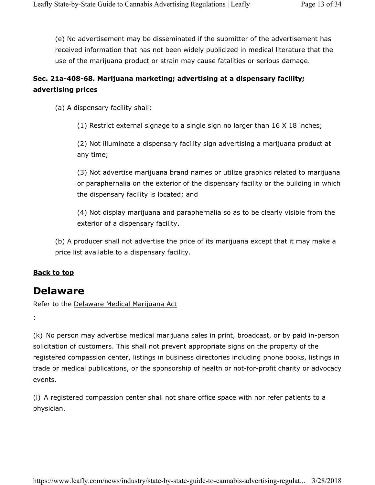(e) No advertisement may be disseminated if the submitter of the advertisement has received information that has not been widely publicized in medical literature that the use of the marijuana product or strain may cause fatalities or serious damage.

## **Sec. 21a-408-68. Marijuana marketing; advertising at a dispensary facility; advertising prices**

(a) A dispensary facility shall:

(1) Restrict external signage to a single sign no larger than 16 X 18 inches;

(2) Not illuminate a dispensary facility sign advertising a marijuana product at any time;

(3) Not advertise marijuana brand names or utilize graphics related to marijuana or paraphernalia on the exterior of the dispensary facility or the building in which the dispensary facility is located; and

(4) Not display marijuana and paraphernalia so as to be clearly visible from the exterior of a dispensary facility.

(b) A producer shall not advertise the price of its marijuana except that it may make a price list available to a dispensary facility.

#### **Back to top**

:

## **Delaware**

Refer to the Delaware Medical Marijuana Act

(k) No person may advertise medical marijuana sales in print, broadcast, or by paid in-person solicitation of customers. This shall not prevent appropriate signs on the property of the registered compassion center, listings in business directories including phone books, listings in trade or medical publications, or the sponsorship of health or not-for-profit charity or advocacy events.

(l) A registered compassion center shall not share office space with nor refer patients to a physician.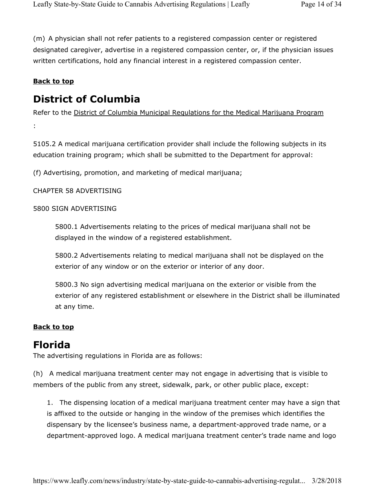(m) A physician shall not refer patients to a registered compassion center or registered designated caregiver, advertise in a registered compassion center, or, if the physician issues written certifications, hold any financial interest in a registered compassion center.

### **Back to top**

## **District of Columbia**

Refer to the District of Columbia Municipal Regulations for the Medical Marijuana Program

:

5105.2 A medical marijuana certification provider shall include the following subjects in its education training program; which shall be submitted to the Department for approval:

(f) Advertising, promotion, and marketing of medical marijuana;

CHAPTER 58 ADVERTISING

#### 5800 SIGN ADVERTISING

5800.1 Advertisements relating to the prices of medical marijuana shall not be displayed in the window of a registered establishment.

5800.2 Advertisements relating to medical marijuana shall not be displayed on the exterior of any window or on the exterior or interior of any door.

5800.3 No sign advertising medical marijuana on the exterior or visible from the exterior of any registered establishment or elsewhere in the District shall be illuminated at any time.

## **Back to top**

## **Florida**

The advertising regulations in Florida are as follows:

(h) A medical marijuana treatment center may not engage in advertising that is visible to members of the public from any street, sidewalk, park, or other public place, except:

1. The dispensing location of a medical marijuana treatment center may have a sign that is affixed to the outside or hanging in the window of the premises which identifies the dispensary by the licensee's business name, a department-approved trade name, or a department-approved logo. A medical marijuana treatment center's trade name and logo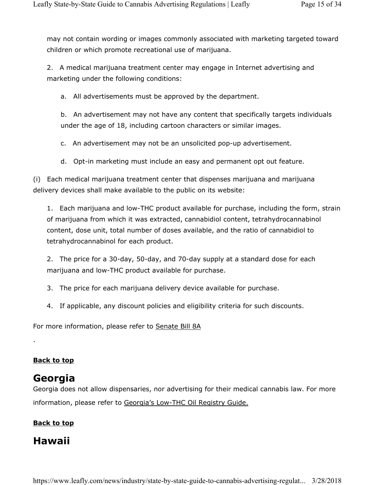may not contain wording or images commonly associated with marketing targeted toward children or which promote recreational use of marijuana.

2. A medical marijuana treatment center may engage in Internet advertising and marketing under the following conditions:

a. All advertisements must be approved by the department.

b. An advertisement may not have any content that specifically targets individuals under the age of 18, including cartoon characters or similar images.

c. An advertisement may not be an unsolicited pop-up advertisement.

d. Opt-in marketing must include an easy and permanent opt out feature.

(i) Each medical marijuana treatment center that dispenses marijuana and marijuana delivery devices shall make available to the public on its website:

1. Each marijuana and low-THC product available for purchase, including the form, strain of marijuana from which it was extracted, cannabidiol content, tetrahydrocannabinol content, dose unit, total number of doses available, and the ratio of cannabidiol to tetrahydrocannabinol for each product.

2. The price for a 30-day, 50-day, and 70-day supply at a standard dose for each marijuana and low-THC product available for purchase.

- 3. The price for each marijuana delivery device available for purchase.
- 4. If applicable, any discount policies and eligibility criteria for such discounts.

For more information, please refer to Senate Bill 8A

## **Back to top**

.

## **Georgia**

Georgia does not allow dispensaries, nor advertising for their medical cannabis law. For more information, please refer to Georgia's Low-THC Oil Registry Guide.

## **Back to top**

## **Hawaii**

https://www.leafly.com/news/industry/state-by-state-guide-to-cannabis-advertising-regulat... 3/28/2018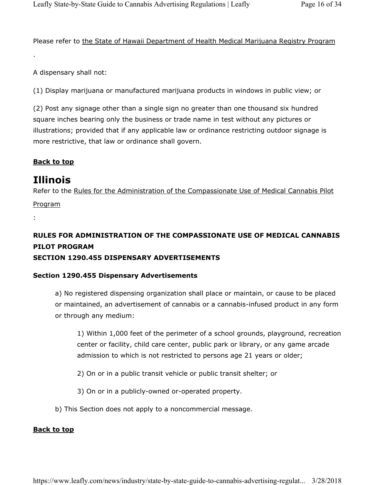Please refer to the State of Hawaii Department of Health Medical Marijuana Registry Program

A dispensary shall not:

.

(1) Display marijuana or manufactured marijuana products in windows in public view; or

(2) Post any signage other than a single sign no greater than one thousand six hundred square inches bearing only the business or trade name in test without any pictures or illustrations; provided that if any applicable law or ordinance restricting outdoor signage is more restrictive, that law or ordinance shall govern.

## **Back to top**

## **Illinois**

Refer to the Rules for the Administration of the Compassionate Use of Medical Cannabis Pilot

Program

:

## **RULES FOR ADMINISTRATION OF THE COMPASSIONATE USE OF MEDICAL CANNABIS PILOT PROGRAM SECTION 1290.455 DISPENSARY ADVERTISEMENTS**

## **Section 1290.455 Dispensary Advertisements**

a) No registered dispensing organization shall place or maintain, or cause to be placed or maintained, an advertisement of cannabis or a cannabis-infused product in any form or through any medium:

1) Within 1,000 feet of the perimeter of a school grounds, playground, recreation center or facility, child care center, public park or library, or any game arcade admission to which is not restricted to persons age 21 years or older;

- 2) On or in a public transit vehicle or public transit shelter; or
- 3) On or in a publicly-owned or-operated property.
- b) This Section does not apply to a noncommercial message.

#### **Back to top**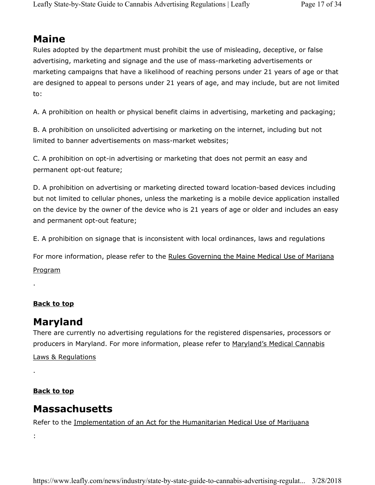## **Maine**

Rules adopted by the department must prohibit the use of misleading, deceptive, or false advertising, marketing and signage and the use of mass-marketing advertisements or marketing campaigns that have a likelihood of reaching persons under 21 years of age or that are designed to appeal to persons under 21 years of age, and may include, but are not limited to:

A. A prohibition on health or physical benefit claims in advertising, marketing and packaging;

B. A prohibition on unsolicited advertising or marketing on the internet, including but not limited to banner advertisements on mass-market websites;

C. A prohibition on opt-in advertising or marketing that does not permit an easy and permanent opt-out feature;

D. A prohibition on advertising or marketing directed toward location-based devices including but not limited to cellular phones, unless the marketing is a mobile device application installed on the device by the owner of the device who is 21 years of age or older and includes an easy and permanent opt-out feature;

E. A prohibition on signage that is inconsistent with local ordinances, laws and regulations

For more information, please refer to the Rules Governing the Maine Medical Use of Marijana Program

#### **Back to top**

.

## **Maryland**

There are currently no advertising regulations for the registered dispensaries, processors or producers in Maryland. For more information, please refer to Maryland's Medical Cannabis

Laws & Regulations

## **Back to top**

## **Massachusetts**

Refer to the Implementation of an Act for the Humanitarian Medical Use of Marijuana

:

.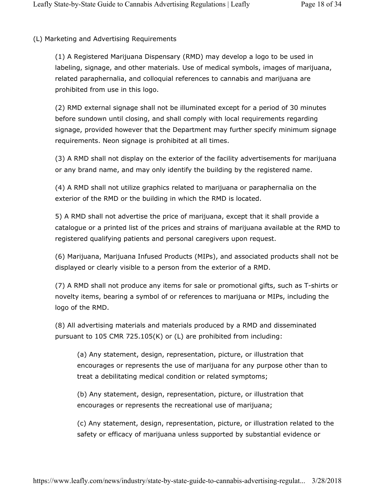(L) Marketing and Advertising Requirements

(1) A Registered Marijuana Dispensary (RMD) may develop a logo to be used in labeling, signage, and other materials. Use of medical symbols, images of marijuana, related paraphernalia, and colloquial references to cannabis and marijuana are prohibited from use in this logo.

(2) RMD external signage shall not be illuminated except for a period of 30 minutes before sundown until closing, and shall comply with local requirements regarding signage, provided however that the Department may further specify minimum signage requirements. Neon signage is prohibited at all times.

(3) A RMD shall not display on the exterior of the facility advertisements for marijuana or any brand name, and may only identify the building by the registered name.

(4) A RMD shall not utilize graphics related to marijuana or paraphernalia on the exterior of the RMD or the building in which the RMD is located.

5) A RMD shall not advertise the price of marijuana, except that it shall provide a catalogue or a printed list of the prices and strains of marijuana available at the RMD to registered qualifying patients and personal caregivers upon request.

(6) Marijuana, Marijuana Infused Products (MIPs), and associated products shall not be displayed or clearly visible to a person from the exterior of a RMD.

(7) A RMD shall not produce any items for sale or promotional gifts, such as T-shirts or novelty items, bearing a symbol of or references to marijuana or MIPs, including the logo of the RMD.

(8) All advertising materials and materials produced by a RMD and disseminated pursuant to 105 CMR 725.105(K) or (L) are prohibited from including:

(a) Any statement, design, representation, picture, or illustration that encourages or represents the use of marijuana for any purpose other than to treat a debilitating medical condition or related symptoms;

(b) Any statement, design, representation, picture, or illustration that encourages or represents the recreational use of marijuana;

(c) Any statement, design, representation, picture, or illustration related to the safety or efficacy of marijuana unless supported by substantial evidence or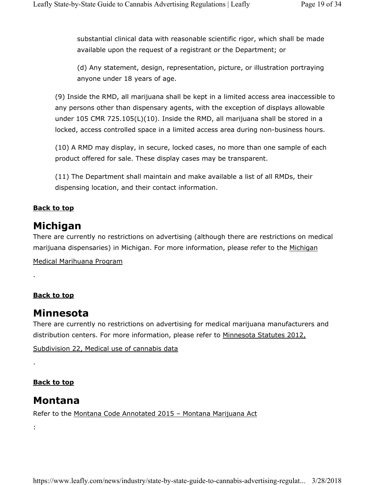substantial clinical data with reasonable scientific rigor, which shall be made available upon the request of a registrant or the Department; or

(d) Any statement, design, representation, picture, or illustration portraying anyone under 18 years of age.

(9) Inside the RMD, all marijuana shall be kept in a limited access area inaccessible to any persons other than dispensary agents, with the exception of displays allowable under 105 CMR 725.105(L)(10). Inside the RMD, all marijuana shall be stored in a locked, access controlled space in a limited access area during non-business hours.

(10) A RMD may display, in secure, locked cases, no more than one sample of each product offered for sale. These display cases may be transparent.

(11) The Department shall maintain and make available a list of all RMDs, their dispensing location, and their contact information.

## **Back to top**

## **Michigan**

There are currently no restrictions on advertising (although there are restrictions on medical marijuana dispensaries) in Michigan. For more information, please refer to the Michigan

Medical Marihuana Program

## **Back to top**

.

.

:

## **Minnesota**

There are currently no restrictions on advertising for medical marijuana manufacturers and distribution centers. For more information, please refer to Minnesota Statutes 2012,

Subdivision 22, Medical use of cannabis data

## **Back to top**

## **Montana**

Refer to the Montana Code Annotated 2015 - Montana Marijuana Act

https://www.leafly.com/news/industry/state-by-state-guide-to-cannabis-advertising-regulat... 3/28/2018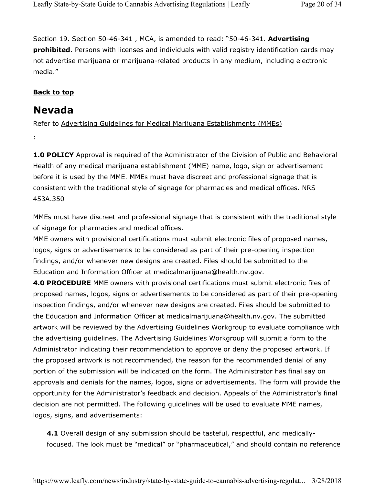Section 19. Section 50-46-341 , MCA, is amended to read: "50-46-341. **Advertising prohibited.** Persons with licenses and individuals with valid registry identification cards may not advertise marijuana or marijuana-related products in any medium, including electronic media."

#### **Back to top**

## **Nevada**

:

Refer to Advertising Guidelines for Medical Marijuana Establishments (MMEs)

**1.0 POLICY** Approval is required of the Administrator of the Division of Public and Behavioral Health of any medical marijuana establishment (MME) name, logo, sign or advertisement before it is used by the MME. MMEs must have discreet and professional signage that is consistent with the traditional style of signage for pharmacies and medical offices. NRS 453A.350

MMEs must have discreet and professional signage that is consistent with the traditional style of signage for pharmacies and medical offices.

MME owners with provisional certifications must submit electronic files of proposed names, logos, signs or advertisements to be considered as part of their pre-opening inspection findings, and/or whenever new designs are created. Files should be submitted to the Education and Information Officer at medicalmarijuana@health.nv.gov.

**4.0 PROCEDURE** MME owners with provisional certifications must submit electronic files of proposed names, logos, signs or advertisements to be considered as part of their pre-opening inspection findings, and/or whenever new designs are created. Files should be submitted to the Education and Information Officer at medicalmarijuana@health.nv.gov. The submitted artwork will be reviewed by the Advertising Guidelines Workgroup to evaluate compliance with the advertising guidelines. The Advertising Guidelines Workgroup will submit a form to the Administrator indicating their recommendation to approve or deny the proposed artwork. If the proposed artwork is not recommended, the reason for the recommended denial of any portion of the submission will be indicated on the form. The Administrator has final say on approvals and denials for the names, logos, signs or advertisements. The form will provide the opportunity for the Administrator's feedback and decision. Appeals of the Administrator's final decision are not permitted. The following guidelines will be used to evaluate MME names, logos, signs, and advertisements:

**4.1** Overall design of any submission should be tasteful, respectful, and medicallyfocused. The look must be "medical" or "pharmaceutical," and should contain no reference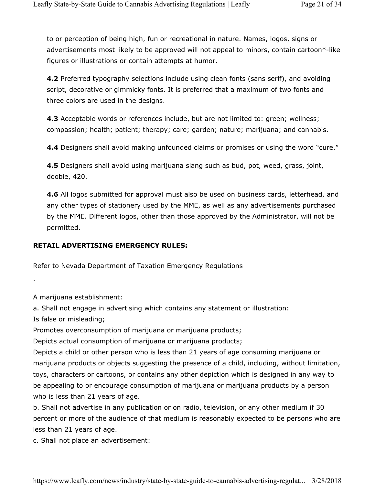to or perception of being high, fun or recreational in nature. Names, logos, signs or advertisements most likely to be approved will not appeal to minors, contain cartoon\*-like figures or illustrations or contain attempts at humor.

**4.2** Preferred typography selections include using clean fonts (sans serif), and avoiding script, decorative or gimmicky fonts. It is preferred that a maximum of two fonts and three colors are used in the designs.

**4.3** Acceptable words or references include, but are not limited to: green; wellness; compassion; health; patient; therapy; care; garden; nature; marijuana; and cannabis.

**4.4** Designers shall avoid making unfounded claims or promises or using the word "cure."

**4.5** Designers shall avoid using marijuana slang such as bud, pot, weed, grass, joint, doobie, 420.

**4.6** All logos submitted for approval must also be used on business cards, letterhead, and any other types of stationery used by the MME, as well as any advertisements purchased by the MME. Different logos, other than those approved by the Administrator, will not be permitted.

#### **RETAIL ADVERTISING EMERGENCY RULES:**

#### Refer to Nevada Department of Taxation Emergency Regulations

A marijuana establishment:

a. Shall not engage in advertising which contains any statement or illustration:

Is false or misleading;

.

Promotes overconsumption of marijuana or marijuana products;

Depicts actual consumption of marijuana or marijuana products;

Depicts a child or other person who is less than 21 years of age consuming marijuana or marijuana products or objects suggesting the presence of a child, including, without limitation, toys, characters or cartoons, or contains any other depiction which is designed in any way to be appealing to or encourage consumption of marijuana or marijuana products by a person who is less than 21 years of age.

b. Shall not advertise in any publication or on radio, television, or any other medium if 30 percent or more of the audience of that medium is reasonably expected to be persons who are less than 21 years of age.

c. Shall not place an advertisement: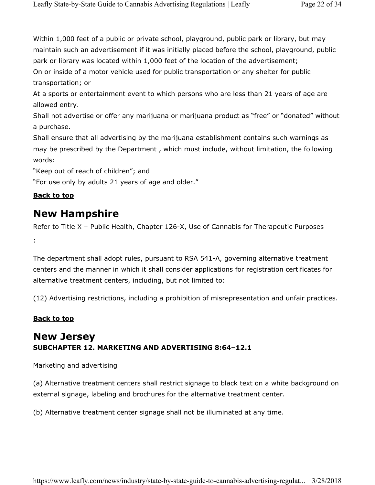Within 1,000 feet of a public or private school, playground, public park or library, but may maintain such an advertisement if it was initially placed before the school, playground, public park or library was located within 1,000 feet of the location of the advertisement; On or inside of a motor vehicle used for public transportation or any shelter for public transportation; or

At a sports or entertainment event to which persons who are less than 21 years of age are allowed entry.

Shall not advertise or offer any marijuana or marijuana product as "free" or "donated" without a purchase.

Shall ensure that all advertising by the marijuana establishment contains such warnings as may be prescribed by the Department , which must include, without limitation, the following words:

"Keep out of reach of children"; and

"For use only by adults 21 years of age and older."

## **Back to top**

## **New Hampshire**

Refer to Title X – Public Health, Chapter 126-X, Use of Cannabis for Therapeutic Purposes :

The department shall adopt rules, pursuant to RSA 541-A, governing alternative treatment centers and the manner in which it shall consider applications for registration certificates for alternative treatment centers, including, but not limited to:

(12) Advertising restrictions, including a prohibition of misrepresentation and unfair practices.

## **Back to top**

## **New Jersey SUBCHAPTER 12. MARKETING AND ADVERTISING 8:64–12.1**

Marketing and advertising

(a) Alternative treatment centers shall restrict signage to black text on a white background on external signage, labeling and brochures for the alternative treatment center.

(b) Alternative treatment center signage shall not be illuminated at any time.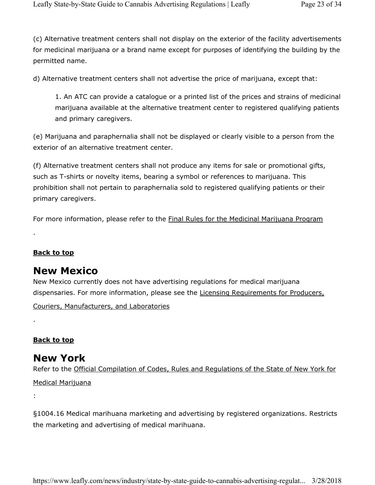(c) Alternative treatment centers shall not display on the exterior of the facility advertisements for medicinal marijuana or a brand name except for purposes of identifying the building by the permitted name.

d) Alternative treatment centers shall not advertise the price of marijuana, except that:

1. An ATC can provide a catalogue or a printed list of the prices and strains of medicinal marijuana available at the alternative treatment center to registered qualifying patients and primary caregivers.

(e) Marijuana and paraphernalia shall not be displayed or clearly visible to a person from the exterior of an alternative treatment center.

(f) Alternative treatment centers shall not produce any items for sale or promotional gifts, such as T-shirts or novelty items, bearing a symbol or references to marijuana. This prohibition shall not pertain to paraphernalia sold to registered qualifying patients or their primary caregivers.

For more information, please refer to the **Final Rules for the Medicinal Marijuana Program** 

## **Back to top**

.

## **New Mexico**

New Mexico currently does not have advertising regulations for medical marijuana dispensaries. For more information, please see the Licensing Requirements for Producers,

Couriers, Manufacturers, and Laboratories

## **Back to top**

## **New York**

Refer to the Official Compilation of Codes, Rules and Regulations of the State of New York for Medical Marijuana

:

.

§1004.16 Medical marihuana marketing and advertising by registered organizations. Restricts the marketing and advertising of medical marihuana.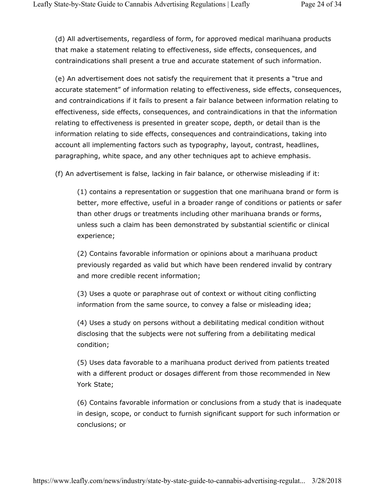(d) All advertisements, regardless of form, for approved medical marihuana products that make a statement relating to effectiveness, side effects, consequences, and contraindications shall present a true and accurate statement of such information.

(e) An advertisement does not satisfy the requirement that it presents a "true and accurate statement" of information relating to effectiveness, side effects, consequences, and contraindications if it fails to present a fair balance between information relating to effectiveness, side effects, consequences, and contraindications in that the information relating to effectiveness is presented in greater scope, depth, or detail than is the information relating to side effects, consequences and contraindications, taking into account all implementing factors such as typography, layout, contrast, headlines, paragraphing, white space, and any other techniques apt to achieve emphasis.

(f) An advertisement is false, lacking in fair balance, or otherwise misleading if it:

(1) contains a representation or suggestion that one marihuana brand or form is better, more effective, useful in a broader range of conditions or patients or safer than other drugs or treatments including other marihuana brands or forms, unless such a claim has been demonstrated by substantial scientific or clinical experience;

(2) Contains favorable information or opinions about a marihuana product previously regarded as valid but which have been rendered invalid by contrary and more credible recent information;

(3) Uses a quote or paraphrase out of context or without citing conflicting information from the same source, to convey a false or misleading idea;

(4) Uses a study on persons without a debilitating medical condition without disclosing that the subjects were not suffering from a debilitating medical condition;

(5) Uses data favorable to a marihuana product derived from patients treated with a different product or dosages different from those recommended in New York State;

(6) Contains favorable information or conclusions from a study that is inadequate in design, scope, or conduct to furnish significant support for such information or conclusions; or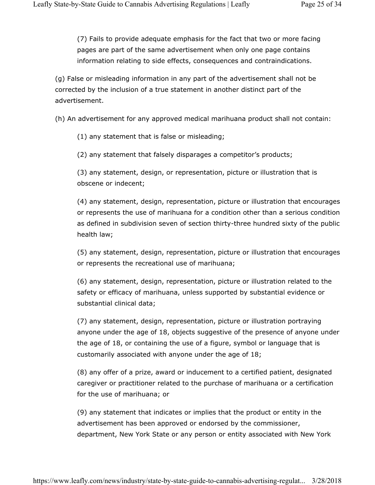(7) Fails to provide adequate emphasis for the fact that two or more facing pages are part of the same advertisement when only one page contains information relating to side effects, consequences and contraindications.

(g) False or misleading information in any part of the advertisement shall not be corrected by the inclusion of a true statement in another distinct part of the advertisement.

(h) An advertisement for any approved medical marihuana product shall not contain:

(1) any statement that is false or misleading;

(2) any statement that falsely disparages a competitor's products;

(3) any statement, design, or representation, picture or illustration that is obscene or indecent;

(4) any statement, design, representation, picture or illustration that encourages or represents the use of marihuana for a condition other than a serious condition as defined in subdivision seven of section thirty-three hundred sixty of the public health law;

(5) any statement, design, representation, picture or illustration that encourages or represents the recreational use of marihuana;

(6) any statement, design, representation, picture or illustration related to the safety or efficacy of marihuana, unless supported by substantial evidence or substantial clinical data;

(7) any statement, design, representation, picture or illustration portraying anyone under the age of 18, objects suggestive of the presence of anyone under the age of 18, or containing the use of a figure, symbol or language that is customarily associated with anyone under the age of 18;

(8) any offer of a prize, award or inducement to a certified patient, designated caregiver or practitioner related to the purchase of marihuana or a certification for the use of marihuana; or

(9) any statement that indicates or implies that the product or entity in the advertisement has been approved or endorsed by the commissioner, department, New York State or any person or entity associated with New York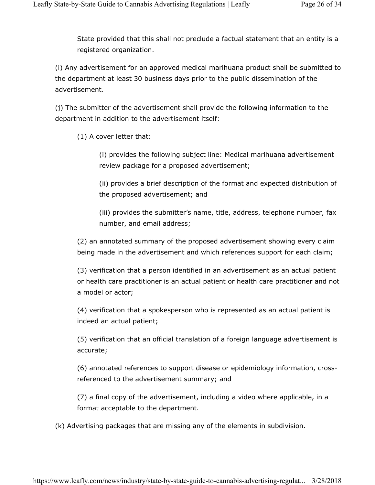State provided that this shall not preclude a factual statement that an entity is a registered organization.

(i) Any advertisement for an approved medical marihuana product shall be submitted to the department at least 30 business days prior to the public dissemination of the advertisement.

(j) The submitter of the advertisement shall provide the following information to the department in addition to the advertisement itself:

(1) A cover letter that:

(i) provides the following subject line: Medical marihuana advertisement review package for a proposed advertisement;

(ii) provides a brief description of the format and expected distribution of the proposed advertisement; and

(iii) provides the submitter's name, title, address, telephone number, fax number, and email address;

(2) an annotated summary of the proposed advertisement showing every claim being made in the advertisement and which references support for each claim;

(3) verification that a person identified in an advertisement as an actual patient or health care practitioner is an actual patient or health care practitioner and not a model or actor;

(4) verification that a spokesperson who is represented as an actual patient is indeed an actual patient;

(5) verification that an official translation of a foreign language advertisement is accurate;

(6) annotated references to support disease or epidemiology information, crossreferenced to the advertisement summary; and

(7) a final copy of the advertisement, including a video where applicable, in a format acceptable to the department.

(k) Advertising packages that are missing any of the elements in subdivision.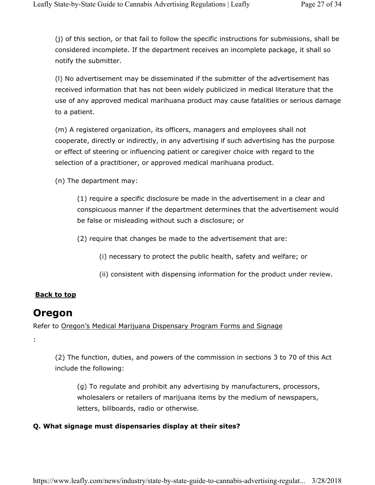(j) of this section, or that fail to follow the specific instructions for submissions, shall be considered incomplete. If the department receives an incomplete package, it shall so notify the submitter.

(l) No advertisement may be disseminated if the submitter of the advertisement has received information that has not been widely publicized in medical literature that the use of any approved medical marihuana product may cause fatalities or serious damage to a patient.

(m) A registered organization, its officers, managers and employees shall not cooperate, directly or indirectly, in any advertising if such advertising has the purpose or effect of steering or influencing patient or caregiver choice with regard to the selection of a practitioner, or approved medical marihuana product.

(n) The department may:

(1) require a specific disclosure be made in the advertisement in a clear and conspicuous manner if the department determines that the advertisement would be false or misleading without such a disclosure; or

(2) require that changes be made to the advertisement that are:

(i) necessary to protect the public health, safety and welfare; or

(ii) consistent with dispensing information for the product under review.

## **Back to top**

## **Oregon**

:

Refer to Oregon's Medical Marijuana Dispensary Program Forms and Signage

(2) The function, duties, and powers of the commission in sections 3 to 70 of this Act include the following:

(g) To regulate and prohibit any advertising by manufacturers, processors, wholesalers or retailers of marijuana items by the medium of newspapers, letters, billboards, radio or otherwise.

## **Q. What signage must dispensaries display at their sites?**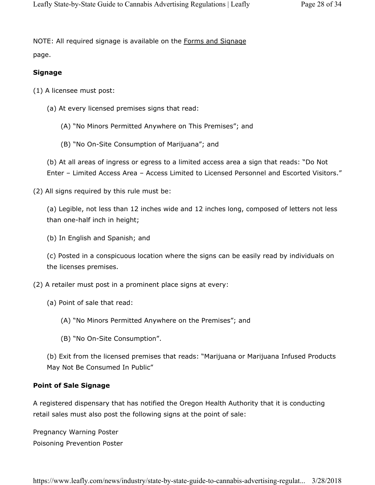NOTE: All required signage is available on the Forms and Signage page.

#### **Signage**

(1) A licensee must post:

- (a) At every licensed premises signs that read:
	- (A) "No Minors Permitted Anywhere on This Premises"; and
	- (B) "No On-Site Consumption of Marijuana"; and

(b) At all areas of ingress or egress to a limited access area a sign that reads: "Do Not Enter – Limited Access Area – Access Limited to Licensed Personnel and Escorted Visitors."

(2) All signs required by this rule must be:

(a) Legible, not less than 12 inches wide and 12 inches long, composed of letters not less than one-half inch in height;

(b) In English and Spanish; and

(c) Posted in a conspicuous location where the signs can be easily read by individuals on the licenses premises.

- (2) A retailer must post in a prominent place signs at every:
	- (a) Point of sale that read:
		- (A) "No Minors Permitted Anywhere on the Premises"; and
		- (B) "No On-Site Consumption".

(b) Exit from the licensed premises that reads: "Marijuana or Marijuana Infused Products May Not Be Consumed In Public"

#### **Point of Sale Signage**

A registered dispensary that has notified the Oregon Health Authority that it is conducting retail sales must also post the following signs at the point of sale:

Pregnancy Warning Poster Poisoning Prevention Poster

https://www.leafly.com/news/industry/state-by-state-guide-to-cannabis-advertising-regulat... 3/28/2018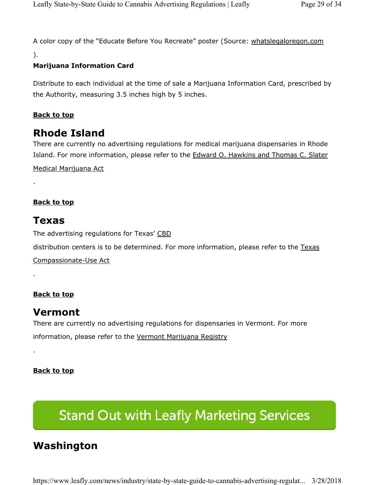A color copy of the "Educate Before You Recreate" poster (Source: whatslegaloregon.com

).

## **Marijuana Information Card**

Distribute to each individual at the time of sale a Marijuana Information Card, prescribed by the Authority, measuring 3.5 inches high by 5 inches.

## **Back to top**

## **Rhode Island**

There are currently no advertising regulations for medical marijuana dispensaries in Rhode Island. For more information, please refer to the Edward O. Hawkins and Thomas C. Slater Medical Marijuana Act

**Back to top** 

## **Texas**

.

.

.

The advertising regulations for Texas' CBD

distribution centers is to be determined. For more information, please refer to the Texas

Compassionate-Use Act

## **Back to top**

## **Vermont**

There are currently no advertising regulations for dispensaries in Vermont. For more information, please refer to the Vermont Marijuana Registry

**Back to top** 

# **Stand Out with Leafly Marketing Services**

## **Washington**

https://www.leafly.com/news/industry/state-by-state-guide-to-cannabis-advertising-regulat... 3/28/2018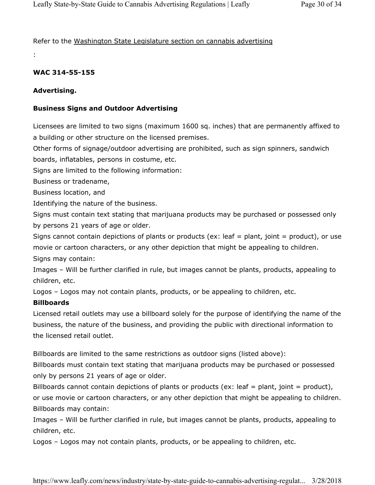Refer to the Washington State Legislature section on cannabis advertising

## **WAC 314-55-155**

#### **Advertising.**

:

#### **Business Signs and Outdoor Advertising**

Licensees are limited to two signs (maximum 1600 sq. inches) that are permanently affixed to a building or other structure on the licensed premises.

Other forms of signage/outdoor advertising are prohibited, such as sign spinners, sandwich boards, inflatables, persons in costume, etc.

Signs are limited to the following information:

Business or tradename,

Business location, and

Identifying the nature of the business.

Signs must contain text stating that marijuana products may be purchased or possessed only by persons 21 years of age or older.

Signs cannot contain depictions of plants or products (ex: leaf = plant, joint = product), or use movie or cartoon characters, or any other depiction that might be appealing to children.

Signs may contain:

Images – Will be further clarified in rule, but images cannot be plants, products, appealing to children, etc.

Logos – Logos may not contain plants, products, or be appealing to children, etc.

#### **Billboards**

Licensed retail outlets may use a billboard solely for the purpose of identifying the name of the business, the nature of the business, and providing the public with directional information to the licensed retail outlet.

Billboards are limited to the same restrictions as outdoor signs (listed above):

Billboards must contain text stating that marijuana products may be purchased or possessed only by persons 21 years of age or older.

Billboards cannot contain depictions of plants or products (ex: leaf = plant, joint = product), or use movie or cartoon characters, or any other depiction that might be appealing to children. Billboards may contain:

Images – Will be further clarified in rule, but images cannot be plants, products, appealing to children, etc.

Logos – Logos may not contain plants, products, or be appealing to children, etc.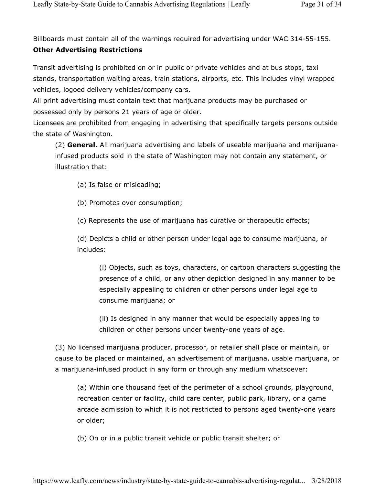Billboards must contain all of the warnings required for advertising under WAC 314-55-155.

## **Other Advertising Restrictions**

Transit advertising is prohibited on or in public or private vehicles and at bus stops, taxi stands, transportation waiting areas, train stations, airports, etc. This includes vinyl wrapped vehicles, logoed delivery vehicles/company cars.

All print advertising must contain text that marijuana products may be purchased or possessed only by persons 21 years of age or older.

Licensees are prohibited from engaging in advertising that specifically targets persons outside the state of Washington.

(2) **General.** All marijuana advertising and labels of useable marijuana and marijuanainfused products sold in the state of Washington may not contain any statement, or illustration that:

(a) Is false or misleading;

(b) Promotes over consumption;

(c) Represents the use of marijuana has curative or therapeutic effects;

(d) Depicts a child or other person under legal age to consume marijuana, or includes:

(i) Objects, such as toys, characters, or cartoon characters suggesting the presence of a child, or any other depiction designed in any manner to be especially appealing to children or other persons under legal age to consume marijuana; or

(ii) Is designed in any manner that would be especially appealing to children or other persons under twenty-one years of age.

(3) No licensed marijuana producer, processor, or retailer shall place or maintain, or cause to be placed or maintained, an advertisement of marijuana, usable marijuana, or a marijuana-infused product in any form or through any medium whatsoever:

(a) Within one thousand feet of the perimeter of a school grounds, playground, recreation center or facility, child care center, public park, library, or a game arcade admission to which it is not restricted to persons aged twenty-one years or older;

(b) On or in a public transit vehicle or public transit shelter; or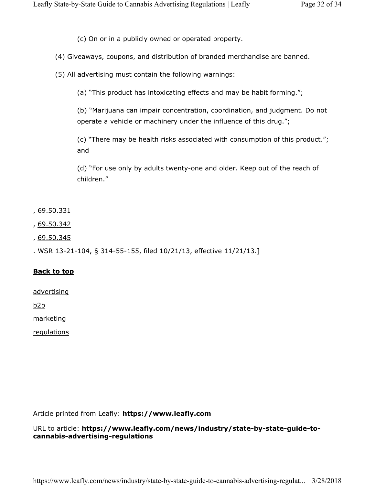(c) On or in a publicly owned or operated property.

(4) Giveaways, coupons, and distribution of branded merchandise are banned.

(5) All advertising must contain the following warnings:

(a) "This product has intoxicating effects and may be habit forming.";

(b) "Marijuana can impair concentration, coordination, and judgment. Do not operate a vehicle or machinery under the influence of this drug.";

(c) "There may be health risks associated with consumption of this product."; and

(d) "For use only by adults twenty-one and older. Keep out of the reach of children."

, 69.50.331

- , 69.50.342
- , 69.50.345

. WSR 13-21-104, § 314-55-155, filed 10/21/13, effective 11/21/13.]

#### **Back to top**

advertising

b2b

marketing

regulations

Article printed from Leafly: **https://www.leafly.com**

URL to article: **https://www.leafly.com/news/industry/state-by-state-guide-tocannabis-advertising-regulations**

https://www.leafly.com/news/industry/state-by-state-guide-to-cannabis-advertising-regulat... 3/28/2018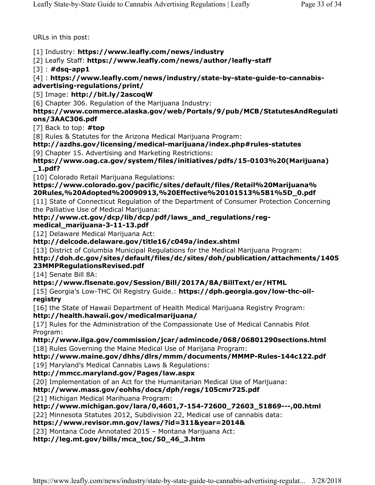URLs in this post:

### [1] Industry: **https://www.leafly.com/news/industry**

[2] Leafly Staff: **https://www.leafly.com/news/author/leafly-staff**

[3] : **#dsq-app1**

[4] : **https://www.leafly.com/news/industry/state-by-state-guide-to-cannabisadvertising-regulations/print/**

[5] Image: **http://bit.ly/2ascoqW**

[6] Chapter 306. Regulation of the Marijuana Industry:

#### **https://www.commerce.alaska.gov/web/Portals/9/pub/MCB/StatutesAndRegulati ons/3AAC306.pdf**

[7] Back to top: **#top**

[8] Rules & Statutes for the Arizona Medical Marijuana Program:

## **http://azdhs.gov/licensing/medical-marijuana/index.php#rules-statutes**

[9] Chapter 15. Advertising and Marketing Restrictions:

**https://www.oag.ca.gov/system/files/initiatives/pdfs/15-0103%20(Marijuana) \_1.pdf?**

[10] Colorado Retail Marijuana Regulations:

**https://www.colorado.gov/pacific/sites/default/files/Retail%20Marijuana% 20Rules,%20Adopted%20090913,%20Effective%20101513%5B1%5D\_0.pdf**

[11] State of Connecticut Regulation of the Department of Consumer Protection Concerning the Palliative Use of Medical Marijuana:

## **http://www.ct.gov/dcp/lib/dcp/pdf/laws\_and\_regulations/reg-**

### **medical\_marijuana-3-11-13.pdf**

[12] Delaware Medical Marijuana Act:

### **http://delcode.delaware.gov/title16/c049a/index.shtml**

[13] District of Columbia Municipal Regulations for the Medical Marijuana Program:

## **http://doh.dc.gov/sites/default/files/dc/sites/doh/publication/attachments/1405 23MMPRegulationsRevised.pdf**

[14] Senate Bill 8A:

## **https://www.flsenate.gov/Session/Bill/2017A/8A/BillText/er/HTML**

[15] Georgia's Low-THC Oil Registry Guide.: https://dph.georgia.gov/low-thc-oil**registry**

[16] the State of Hawaii Department of Health Medical Marijuana Registry Program: **http://health.hawaii.gov/medicalmarijuana/**

[17] Rules for the Administration of the Compassionate Use of Medical Cannabis Pilot Program:

**http://www.ilga.gov/commission/jcar/admincode/068/06801290sections.html** [18] Rules Governing the Maine Medical Use of Marijana Program:

#### **http://www.maine.gov/dhhs/dlrs/mmm/documents/MMMP-Rules-144c122.pdf** [19] Maryland's Medical Cannabis Laws & Regulations:

## **http://mmcc.maryland.gov/Pages/law.aspx**

[20] Implementation of an Act for the Humanitarian Medical Use of Marijuana:

## **http://www.mass.gov/eohhs/docs/dph/regs/105cmr725.pdf**

[21] Michigan Medical Marihuana Program:

## **http://www.michigan.gov/lara/0,4601,7-154-72600\_72603\_51869---,00.html**

[22] Minnesota Statutes 2012, Subdivision 22, Medical use of cannabis data:

## **https://www.revisor.mn.gov/laws/?id=311&year=2014&**

[23] Montana Code Annotated 2015 – Montana Marijuana Act:

#### **http://leg.mt.gov/bills/mca\_toc/50\_46\_3.htm**